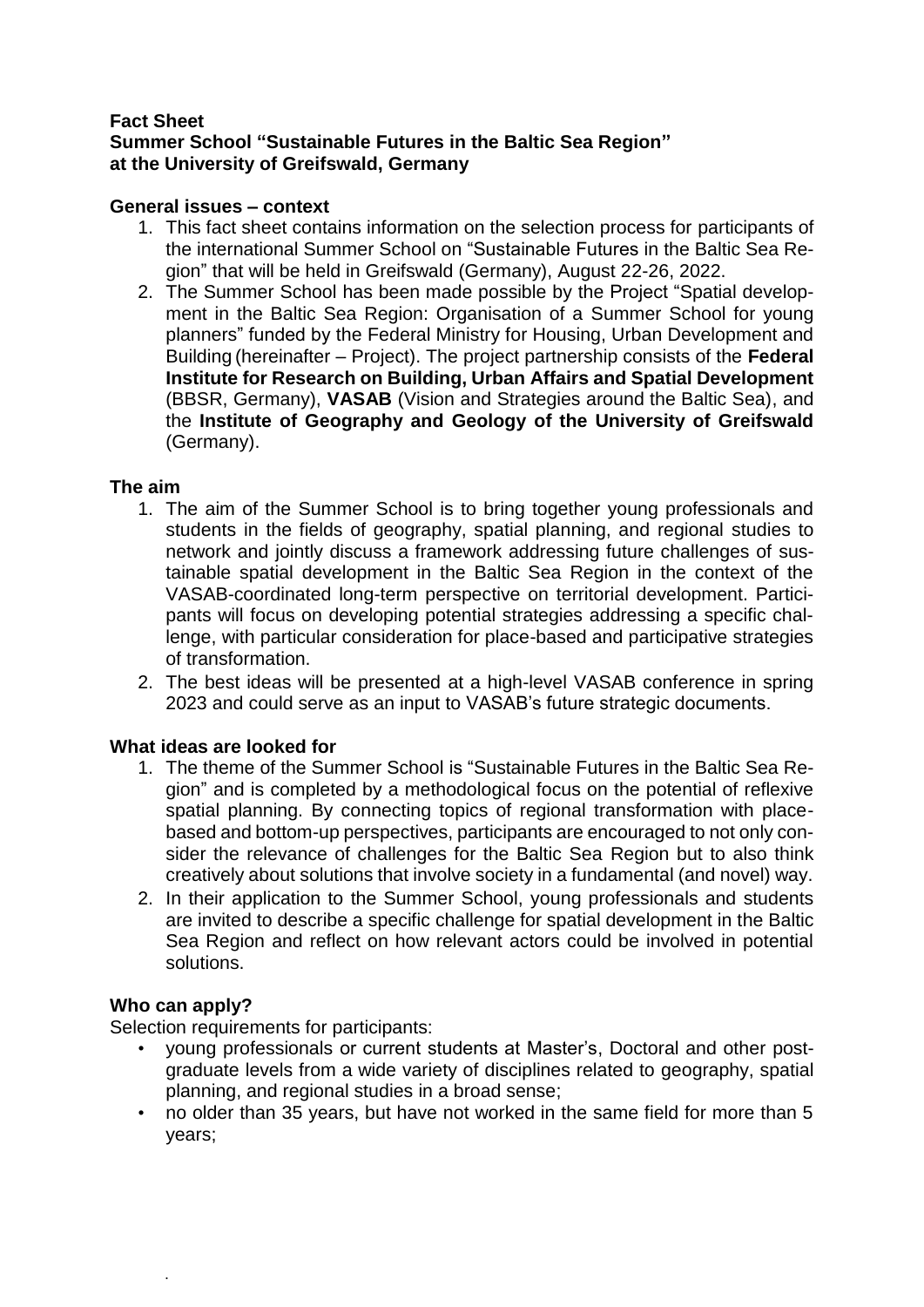#### **Fact Sheet Summer School "Sustainable Futures in the Baltic Sea Region" at the University of Greifswald, Germany**

### **General issues – context**

- 1. This fact sheet contains information on the selection process for participants of the international Summer School on "Sustainable Futures in the Baltic Sea Region" that will be held in Greifswald (Germany), August 22-26, 2022.
- 2. The Summer School has been made possible by the Project "Spatial development in the Baltic Sea Region: Organisation of a Summer School for young planners" funded by the Federal Ministry for Housing, Urban Development and Building (hereinafter – Project). The project partnership consists of the **Federal Institute for Research on Building, Urban Affairs and Spatial Development** (BBSR, Germany), **VASAB** (Vision and Strategies around the Baltic Sea), and the **Institute of Geography and Geology of the University of Greifswald** (Germany).

### **The aim**

- 1. The aim of the Summer School is to bring together young professionals and students in the fields of geography, spatial planning, and regional studies to network and jointly discuss a framework addressing future challenges of sustainable spatial development in the Baltic Sea Region in the context of the VASAB-coordinated long-term perspective on territorial development. Participants will focus on developing potential strategies addressing a specific challenge, with particular consideration for place-based and participative strategies of transformation.
- 2. The best ideas will be presented at a high-level VASAB conference in spring 2023 and could serve as an input to VASAB's future strategic documents.

## **What ideas are looked for**

- 1. The theme of the Summer School is "Sustainable Futures in the Baltic Sea Region" and is completed by a methodological focus on the potential of reflexive spatial planning. By connecting topics of regional transformation with placebased and bottom-up perspectives, participants are encouraged to not only consider the relevance of challenges for the Baltic Sea Region but to also think creatively about solutions that involve society in a fundamental (and novel) way.
- 2. In their application to the Summer School, young professionals and students are invited to describe a specific challenge for spatial development in the Baltic Sea Region and reflect on how relevant actors could be involved in potential solutions.

## **Who can apply?**

.

Selection requirements for participants:

- young professionals or current students at Master's, Doctoral and other postgraduate levels from a wide variety of disciplines related to geography, spatial planning, and regional studies in a broad sense;
- no older than 35 years, but have not worked in the same field for more than 5 years;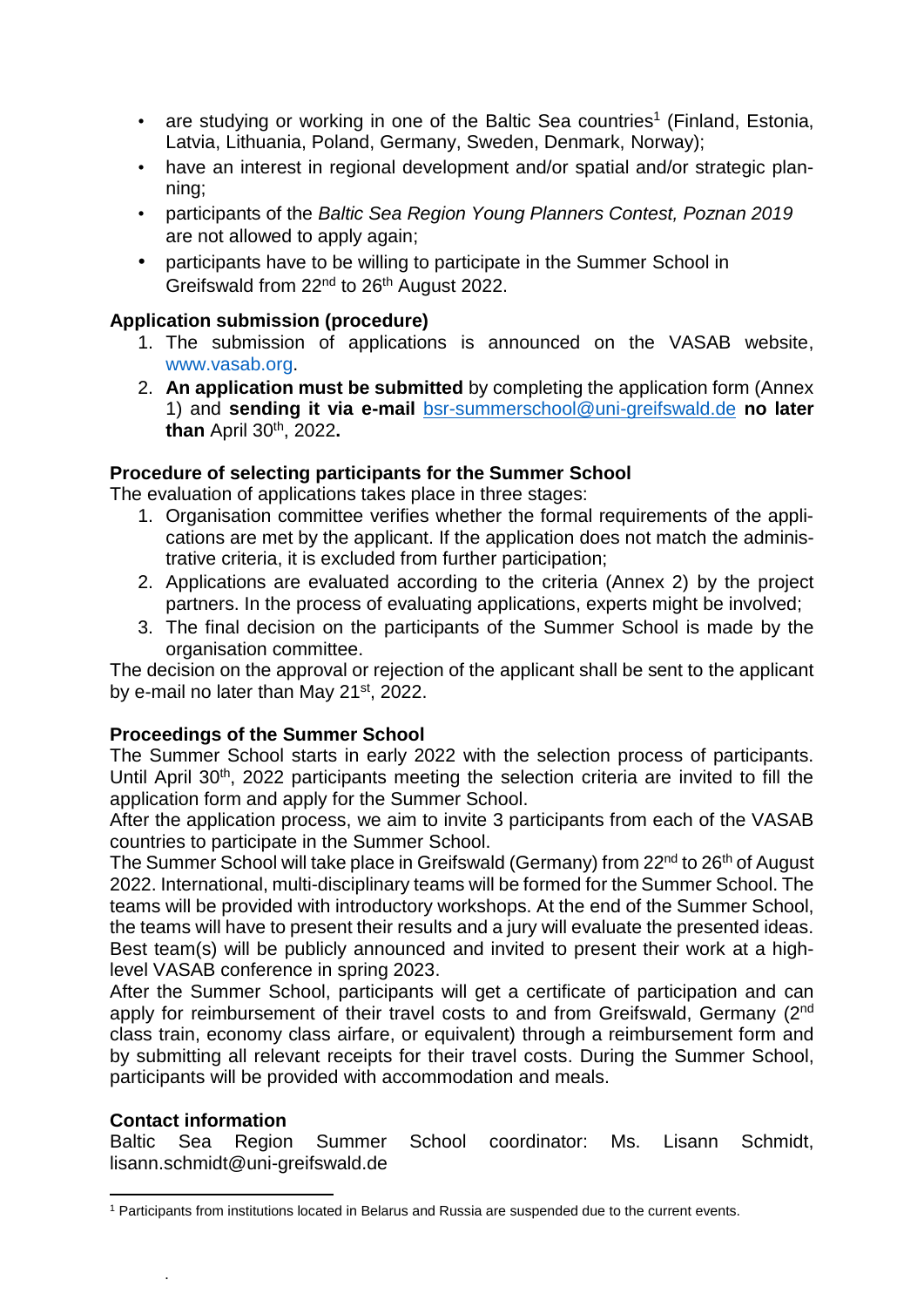- are studying or working in one of the Baltic Sea countries<sup>1</sup> (Finland, Estonia, Latvia, Lithuania, Poland, Germany, Sweden, Denmark, Norway);
- have an interest in regional development and/or spatial and/or strategic planning;
- participants of the *Baltic Sea Region Young Planners Contest, Poznan 2019* are not allowed to apply again;
- participants have to be willing to participate in the Summer School in Greifswald from 22<sup>nd</sup> to 26<sup>th</sup> August 2022.

## **Application submission (procedure)**

- 1. The submission of applications is announced on the VASAB website, www.vasab.org.
- 2. **An application must be submitted** by completing the application form (Annex 1) and **sending it via e-mail** [bsr-summerschool@uni-greifswald.de](mailto:bsr-summerschool@uni-greifswald.de) **no later than** April 30th, 2022**.**

## **Procedure of selecting participants for the Summer School**

The evaluation of applications takes place in three stages:

- 1. Organisation committee verifies whether the formal requirements of the applications are met by the applicant. If the application does not match the administrative criteria, it is excluded from further participation;
- 2. Applications are evaluated according to the criteria (Annex 2) by the project partners. In the process of evaluating applications, experts might be involved:
- 3. The final decision on the participants of the Summer School is made by the organisation committee.

The decision on the approval or rejection of the applicant shall be sent to the applicant by e-mail no later than May 21<sup>st</sup>, 2022.

## **Proceedings of the Summer School**

The Summer School starts in early 2022 with the selection process of participants. Until April 30<sup>th</sup>, 2022 participants meeting the selection criteria are invited to fill the application form and apply for the Summer School.

After the application process, we aim to invite 3 participants from each of the VASAB countries to participate in the Summer School.

The Summer School will take place in Greifswald (Germany) from 22<sup>nd</sup> to 26<sup>th</sup> of August 2022. International, multi-disciplinary teams will be formed for the Summer School. The teams will be provided with introductory workshops. At the end of the Summer School, the teams will have to present their results and a jury will evaluate the presented ideas. Best team(s) will be publicly announced and invited to present their work at a highlevel VASAB conference in spring 2023.

After the Summer School, participants will get a certificate of participation and can apply for reimbursement of their travel costs to and from Greifswald, Germany (2<sup>nd</sup> class train, economy class airfare, or equivalent) through a reimbursement form and by submitting all relevant receipts for their travel costs. During the Summer School, participants will be provided with accommodation and meals.

## **Contact information**

.

Baltic Sea Region Summer School coordinator: Ms. Lisann Schmidt, lisann.schmidt@uni-greifswald.de

**<sup>.</sup>** <sup>1</sup> Participants from institutions located in Belarus and Russia are suspended due to the current events.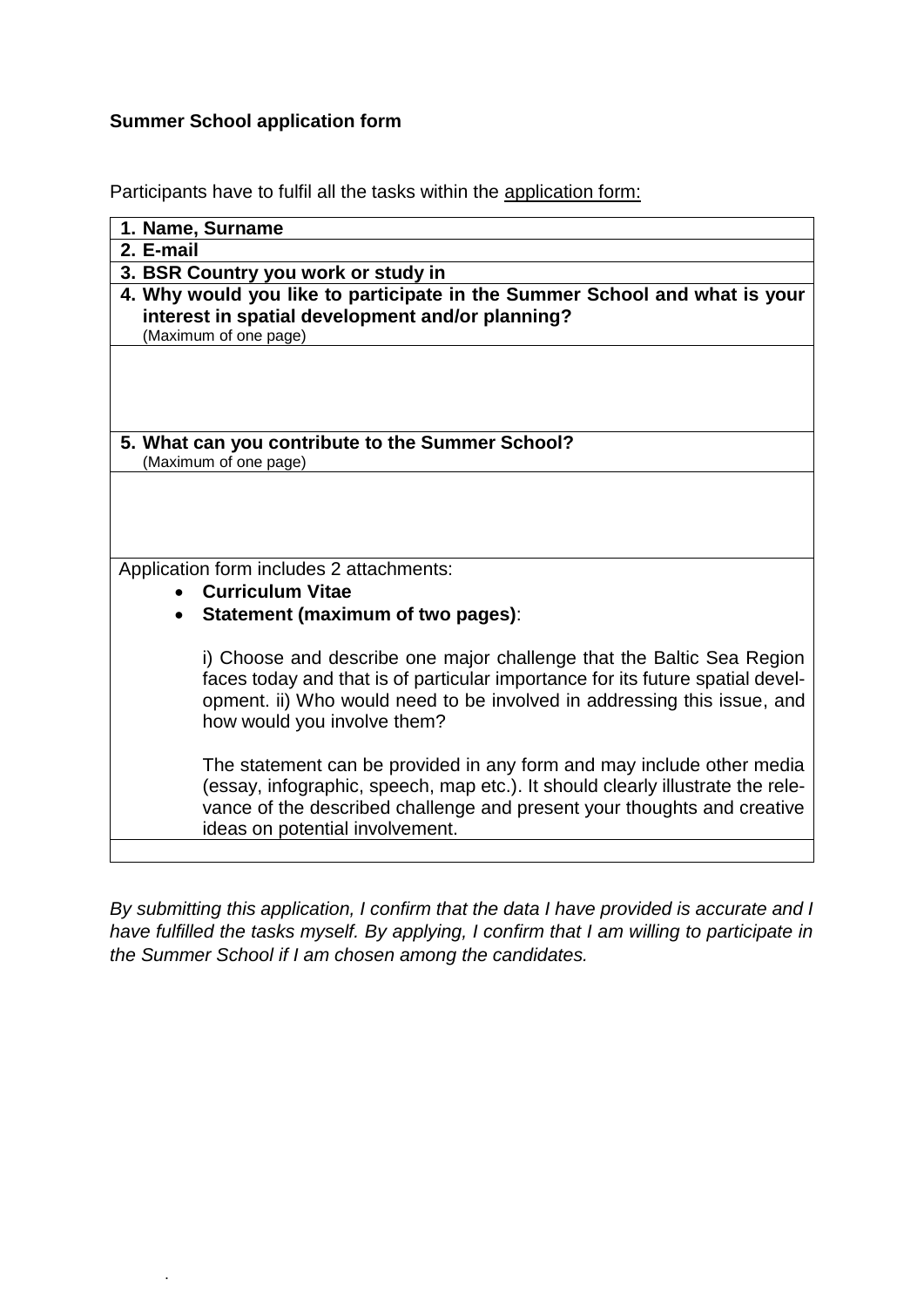## **Summer School application form**

.

Participants have to fulfil all the tasks within the application form:

| 1. Name, Surname                                                                                                                                                                                                                                                      |
|-----------------------------------------------------------------------------------------------------------------------------------------------------------------------------------------------------------------------------------------------------------------------|
| 2. E-mail                                                                                                                                                                                                                                                             |
| 3. BSR Country you work or study in                                                                                                                                                                                                                                   |
| 4. Why would you like to participate in the Summer School and what is your<br>interest in spatial development and/or planning?<br>(Maximum of one page)                                                                                                               |
|                                                                                                                                                                                                                                                                       |
| 5. What can you contribute to the Summer School?<br>(Maximum of one page)                                                                                                                                                                                             |
|                                                                                                                                                                                                                                                                       |
| Application form includes 2 attachments:                                                                                                                                                                                                                              |
| <b>Curriculum Vitae</b>                                                                                                                                                                                                                                               |
| <b>Statement (maximum of two pages):</b><br>$\bullet$                                                                                                                                                                                                                 |
| i) Choose and describe one major challenge that the Baltic Sea Region<br>faces today and that is of particular importance for its future spatial devel-<br>opment. ii) Who would need to be involved in addressing this issue, and<br>how would you involve them?     |
| The statement can be provided in any form and may include other media<br>(essay, infographic, speech, map etc.). It should clearly illustrate the rele-<br>vance of the described challenge and present your thoughts and creative<br>ideas on potential involvement. |
|                                                                                                                                                                                                                                                                       |

*By submitting this application, I confirm that the data I have provided is accurate and I have fulfilled the tasks myself. By applying, I confirm that I am willing to participate in the Summer School if I am chosen among the candidates.*